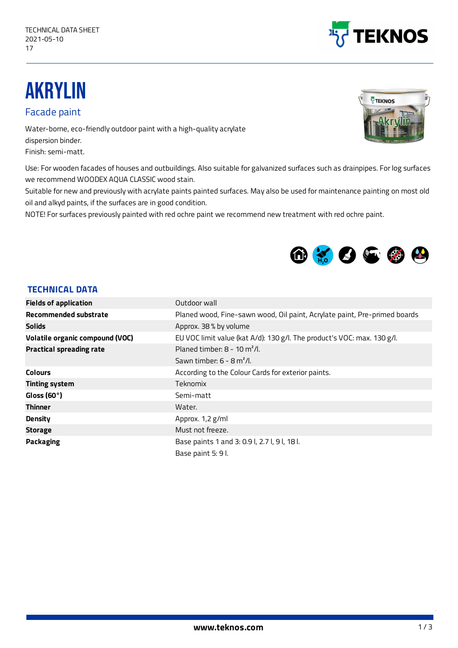

## AKRYLIN

Facade paint

Water-borne, eco-friendly outdoor paint with a high-quality acrylate dispersion binder. Finish: semi-matt.

Use: For wooden facades of houses and outbuildings. Also suitable for galvanized surfaces such as drainpipes. For log surfaces we recommend WOODEX AQUA CLASSIC wood stain.

Suitable for new and previously with acrylate paints painted surfaces. May also be used for maintenance painting on most old oil and alkyd paints, if the surfaces are in good condition.

NOTE! For surfaces previously painted with red ochre paint we recommend new treatment with red ochre paint.



## **TECHNICAL DATA**

| <b>Fields of application</b>    | Outdoor wall                                                              |  |
|---------------------------------|---------------------------------------------------------------------------|--|
| <b>Recommended substrate</b>    | Planed wood, Fine-sawn wood, Oil paint, Acrylate paint, Pre-primed boards |  |
| <b>Solids</b>                   | Approx. 38 % by volume                                                    |  |
| Volatile organic compound (VOC) | EU VOC limit value (kat A/d): 130 g/l. The product's VOC: max. 130 g/l.   |  |
| <b>Practical spreading rate</b> | Planed timber: $8 - 10$ m <sup>2</sup> /l.                                |  |
|                                 | Sawn timber: $6 - 8$ m <sup>2</sup> /l.                                   |  |
| <b>Colours</b>                  | According to the Colour Cards for exterior paints.                        |  |
| <b>Tinting system</b>           | Teknomix                                                                  |  |
| Gloss (60 $\degree$ )           | Semi-matt                                                                 |  |
| <b>Thinner</b>                  | Water.                                                                    |  |
| <b>Density</b>                  | Approx. 1,2 g/ml                                                          |  |
| <b>Storage</b>                  | Must not freeze.                                                          |  |
| <b>Packaging</b>                | Base paints 1 and 3: 0.91, 2.71, 91, 181.                                 |  |
|                                 | Base paint 5: 9 l.                                                        |  |



1/3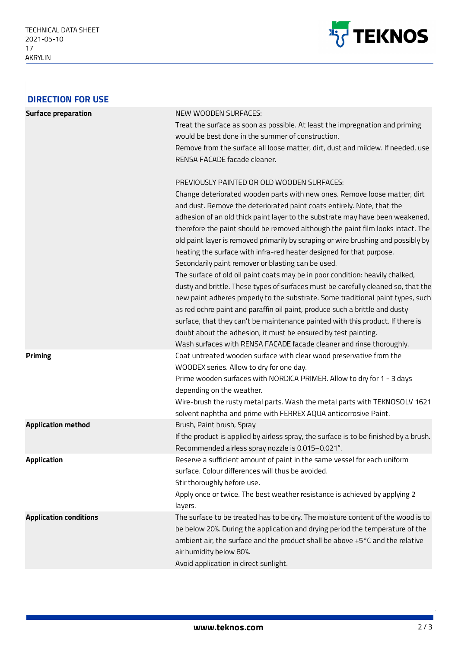

| <b>DIRECTION FOR USE</b>      |                                                                                                                                                                                                                                                                                                                                                                                                                                                                                                                                                                                                                                                                                                                                                                                                                                                                                                                                                                                                                                                                                                                                                                                                                                                                                                                                                                                                                                              |
|-------------------------------|----------------------------------------------------------------------------------------------------------------------------------------------------------------------------------------------------------------------------------------------------------------------------------------------------------------------------------------------------------------------------------------------------------------------------------------------------------------------------------------------------------------------------------------------------------------------------------------------------------------------------------------------------------------------------------------------------------------------------------------------------------------------------------------------------------------------------------------------------------------------------------------------------------------------------------------------------------------------------------------------------------------------------------------------------------------------------------------------------------------------------------------------------------------------------------------------------------------------------------------------------------------------------------------------------------------------------------------------------------------------------------------------------------------------------------------------|
| <b>Surface preparation</b>    | NEW WOODEN SURFACES:<br>Treat the surface as soon as possible. At least the impregnation and priming<br>would be best done in the summer of construction.<br>Remove from the surface all loose matter, dirt, dust and mildew. If needed, use<br>RENSA FACADE facade cleaner.<br>PREVIOUSLY PAINTED OR OLD WOODEN SURFACES:<br>Change deteriorated wooden parts with new ones. Remove loose matter, dirt<br>and dust. Remove the deteriorated paint coats entirely. Note, that the<br>adhesion of an old thick paint layer to the substrate may have been weakened,<br>therefore the paint should be removed although the paint film looks intact. The<br>old paint layer is removed primarily by scraping or wire brushing and possibly by<br>heating the surface with infra-red heater designed for that purpose.<br>Secondarily paint remover or blasting can be used.<br>The surface of old oil paint coats may be in poor condition: heavily chalked,<br>dusty and brittle. These types of surfaces must be carefully cleaned so, that the<br>new paint adheres properly to the substrate. Some traditional paint types, such<br>as red ochre paint and paraffin oil paint, produce such a brittle and dusty<br>surface, that they can't be maintenance painted with this product. If there is<br>doubt about the adhesion, it must be ensured by test painting.<br>Wash surfaces with RENSA FACADE facade cleaner and rinse thoroughly. |
| <b>Priming</b>                | Coat untreated wooden surface with clear wood preservative from the<br>WOODEX series. Allow to dry for one day.<br>Prime wooden surfaces with NORDICA PRIMER. Allow to dry for 1 - 3 days<br>depending on the weather.<br>Wire-brush the rusty metal parts. Wash the metal parts with TEKNOSOLV 1621<br>solvent naphtha and prime with FERREX AQUA anticorrosive Paint.                                                                                                                                                                                                                                                                                                                                                                                                                                                                                                                                                                                                                                                                                                                                                                                                                                                                                                                                                                                                                                                                      |
| <b>Application method</b>     | Brush, Paint brush, Spray<br>If the product is applied by airless spray, the surface is to be finished by a brush.<br>Recommended airless spray nozzle is 0.015-0.021".                                                                                                                                                                                                                                                                                                                                                                                                                                                                                                                                                                                                                                                                                                                                                                                                                                                                                                                                                                                                                                                                                                                                                                                                                                                                      |
| <b>Application</b>            | Reserve a sufficient amount of paint in the same vessel for each uniform<br>surface. Colour differences will thus be avoided.<br>Stir thoroughly before use.<br>Apply once or twice. The best weather resistance is achieved by applying 2<br>layers.                                                                                                                                                                                                                                                                                                                                                                                                                                                                                                                                                                                                                                                                                                                                                                                                                                                                                                                                                                                                                                                                                                                                                                                        |
| <b>Application conditions</b> | The surface to be treated has to be dry. The moisture content of the wood is to<br>be below 20%. During the application and drying period the temperature of the<br>ambient air, the surface and the product shall be above +5°C and the relative<br>air humidity below 80%.<br>Avoid application in direct sunlight.                                                                                                                                                                                                                                                                                                                                                                                                                                                                                                                                                                                                                                                                                                                                                                                                                                                                                                                                                                                                                                                                                                                        |

2/3